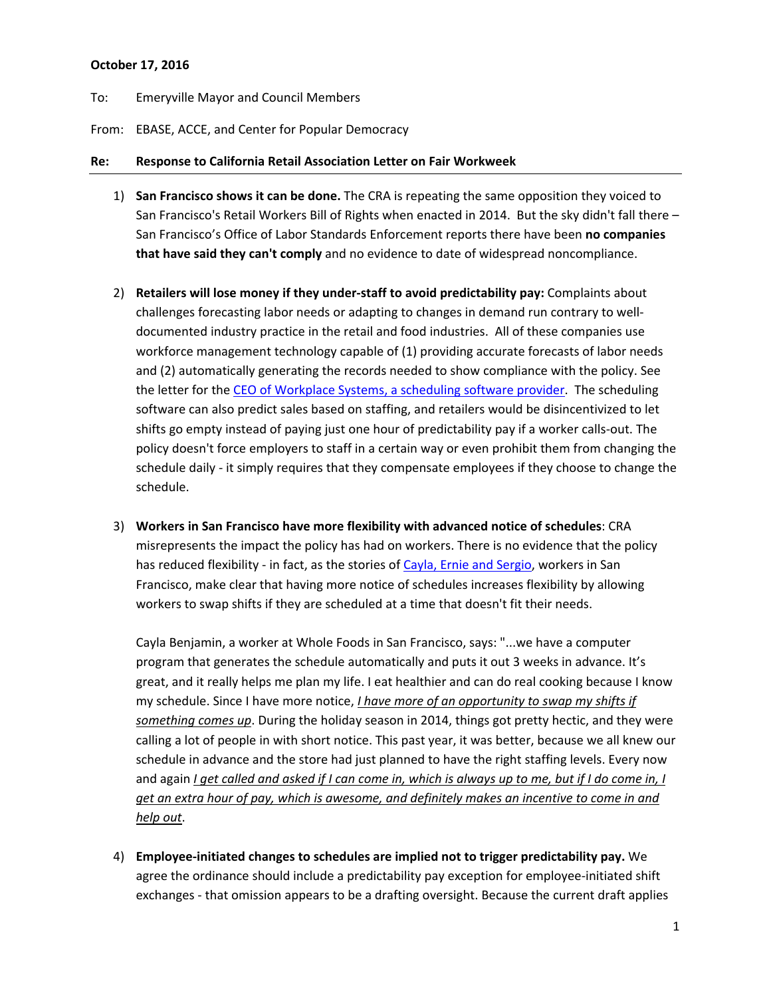### **October 17, 2016**

To: Emeryville Mayor and Council Members

From: EBASE, ACCE, and Center for Popular Democracy

#### **Re: Response to California Retail Association Letter on Fair Workweek**

- 1) **San Francisco shows it can be done.** The CRA is repeating the same opposition they voiced to San Francisco's Retail Workers Bill of Rights when enacted in 2014. But the sky didn't fall there – San Francisco's Office of Labor Standards Enforcement reports there have been **no companies that have said they can't comply** and no evidence to date of widespread noncompliance.
- 2) **Retailers will lose money if they under‐staff to avoid predictability pay:** Complaints about challenges forecasting labor needs or adapting to changes in demand run contrary to well‐ documented industry practice in the retail and food industries. All of these companies use workforce management technology capable of (1) providing accurate forecasts of labor needs and (2) automatically generating the records needed to show compliance with the policy. See the letter for the CEO of Workplace Systems, a scheduling software provider. The scheduling software can also predict sales based on staffing, and retailers would be disincentivized to let shifts go empty instead of paying just one hour of predictability pay if a worker calls‐out. The policy doesn't force employers to staff in a certain way or even prohibit them from changing the schedule daily - it simply requires that they compensate employees if they choose to change the schedule.
- 3) **Workers in San Francisco have more flexibility with advanced notice of schedules**: CRA misrepresents the impact the policy has had on workers. There is no evidence that the policy has reduced flexibility - in fact, as the stories of Cayla, Ernie and Sergio, workers in San Francisco, make clear that having more notice of schedules increases flexibility by allowing workers to swap shifts if they are scheduled at a time that doesn't fit their needs.

Cayla Benjamin, a worker at Whole Foods in San Francisco, says: "...we have a computer program that generates the schedule automatically and puts it out 3 weeks in advance. It's great, and it really helps me plan my life. I eat healthier and can do real cooking because I know my schedule. Since I have more notice, *I have more of an opportunity to swap my shifts if something comes up*. During the holiday season in 2014, things got pretty hectic, and they were calling a lot of people in with short notice. This past year, it was better, because we all knew our schedule in advance and the store had just planned to have the right staffing levels. Every now and again *I get called and asked if I can come in, which is always up to me, but if I do come in, I get an extra hour of pay, which is awesome, and definitely makes an incentive to come in and help out*.

4) **Employee‐initiated changes to schedules are implied not to trigger predictability pay.** We agree the ordinance should include a predictability pay exception for employee-initiated shift exchanges ‐ that omission appears to be a drafting oversight. Because the current draft applies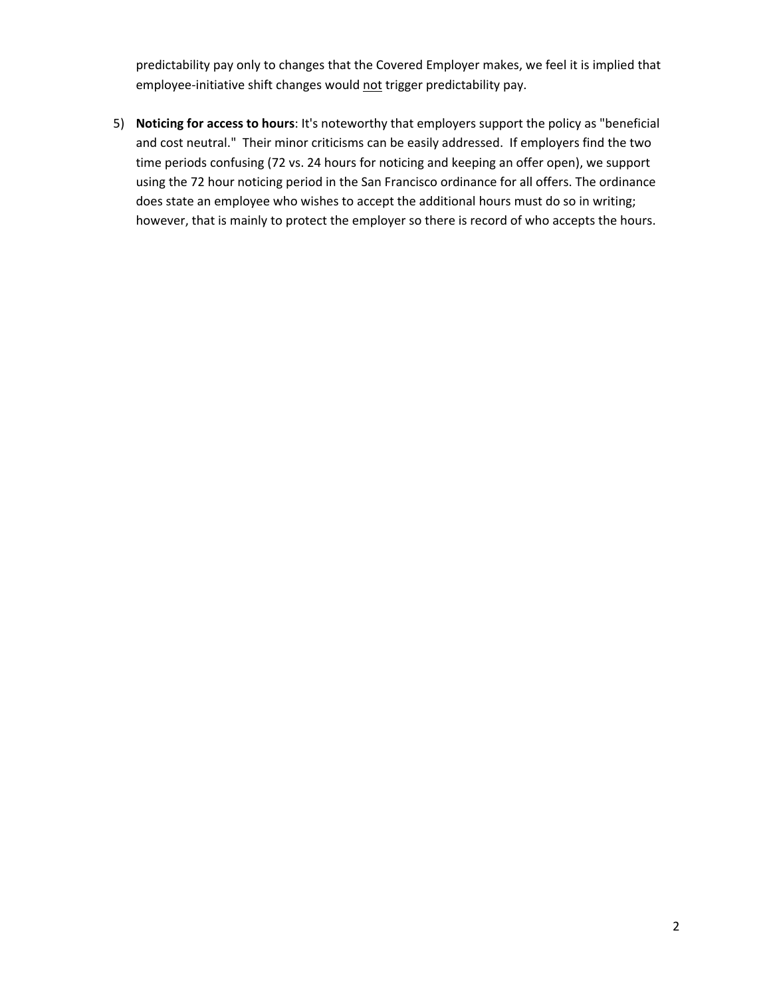predictability pay only to changes that the Covered Employer makes, we feel it is implied that employee-initiative shift changes would not trigger predictability pay.

5) **Noticing for access to hours**: It's noteworthy that employers support the policy as "beneficial and cost neutral." Their minor criticisms can be easily addressed. If employers find the two time periods confusing (72 vs. 24 hours for noticing and keeping an offer open), we support using the 72 hour noticing period in the San Francisco ordinance for all offers. The ordinance does state an employee who wishes to accept the additional hours must do so in writing; however, that is mainly to protect the employer so there is record of who accepts the hours.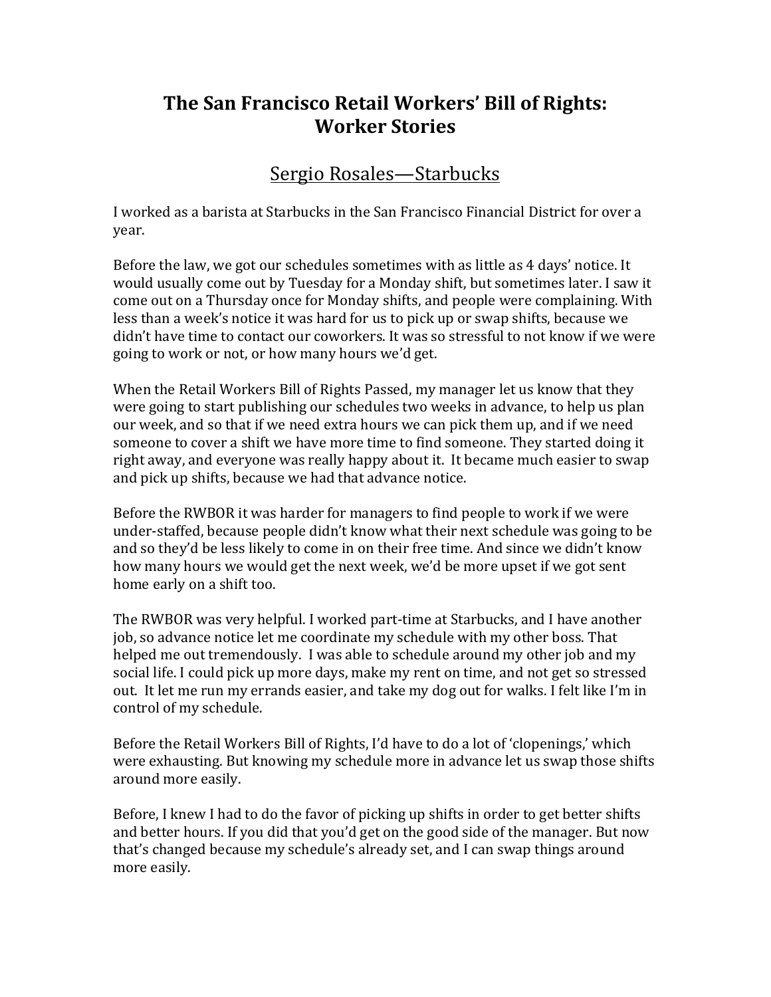# **The San Francisco Retail Workers' Bill of Rights: Worker Stories**

### Sergio Rosales—Starbucks

I worked as a barista at Starbucks in the San Francisco Financial District for over a year. 

Before the law, we got our schedules sometimes with as little as 4 days' notice. It would usually come out by Tuesday for a Monday shift, but sometimes later. I saw it come out on a Thursday once for Monday shifts, and people were complaining. With less than a week's notice it was hard for us to pick up or swap shifts, because we didn't have time to contact our coworkers. It was so stressful to not know if we were going to work or not, or how many hours we'd get.

When the Retail Workers Bill of Rights Passed, my manager let us know that they were going to start publishing our schedules two weeks in advance, to help us plan our week, and so that if we need extra hours we can pick them up, and if we need someone to cover a shift we have more time to find someone. They started doing it right away, and everyone was really happy about it. It became much easier to swap and pick up shifts, because we had that advance notice.

Before the RWBOR it was harder for managers to find people to work if we were under-staffed, because people didn't know what their next schedule was going to be and so they'd be less likely to come in on their free time. And since we didn't know how many hours we would get the next week, we'd be more upset if we got sent home early on a shift too.

The RWBOR was very helpful. I worked part-time at Starbucks, and I have another job, so advance notice let me coordinate my schedule with my other boss. That helped me out tremendously. I was able to schedule around my other job and my social life. I could pick up more days, make my rent on time, and not get so stressed out. It let me run my errands easier, and take my dog out for walks. I felt like I'm in control of my schedule.

Before the Retail Workers Bill of Rights, I'd have to do a lot of 'clopenings,' which were exhausting. But knowing my schedule more in advance let us swap those shifts around more easily.

Before, I knew I had to do the favor of picking up shifts in order to get better shifts and better hours. If you did that you'd get on the good side of the manager. But now that's changed because my schedule's already set, and I can swap things around more easily.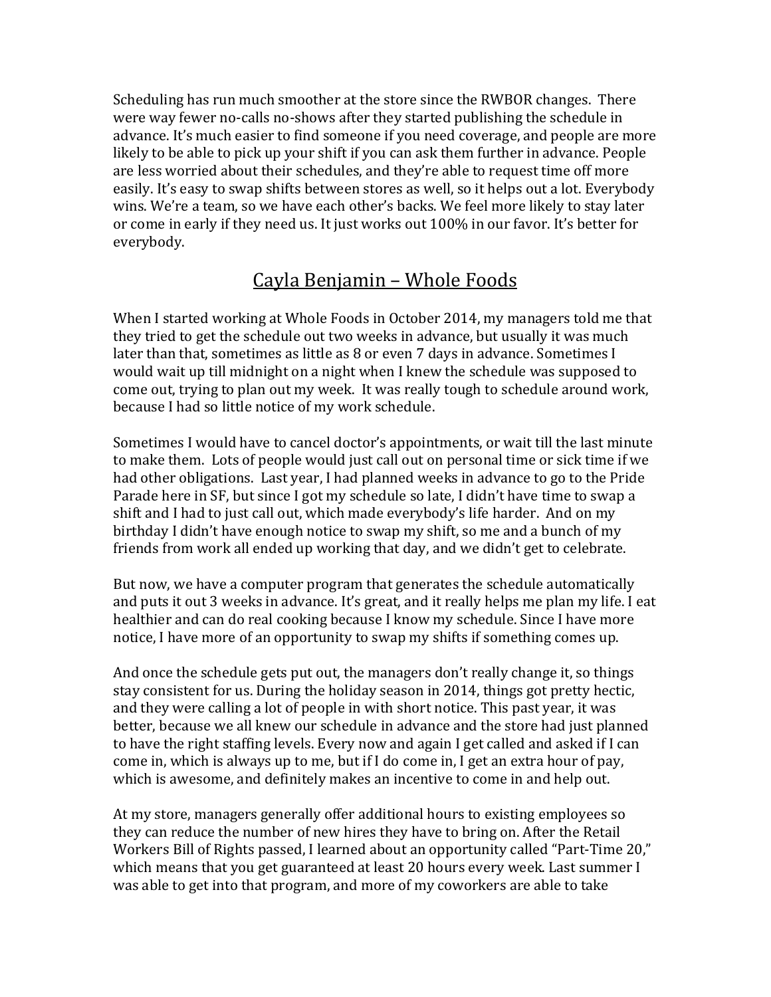Scheduling has run much smoother at the store since the RWBOR changes. There were way fewer no-calls no-shows after they started publishing the schedule in advance. It's much easier to find someone if you need coverage, and people are more likely to be able to pick up your shift if you can ask them further in advance. People are less worried about their schedules, and they're able to request time off more easily. It's easy to swap shifts between stores as well, so it helps out a lot. Everybody wins. We're a team, so we have each other's backs. We feel more likely to stay later or come in early if they need us. It just works out 100% in our favor. It's better for everybody. 

# Cayla Benjamin - Whole Foods

When I started working at Whole Foods in October 2014, my managers told me that they tried to get the schedule out two weeks in advance, but usually it was much later than that, sometimes as little as  $8$  or even  $7$  days in advance. Sometimes I would wait up till midnight on a night when I knew the schedule was supposed to come out, trying to plan out my week. It was really tough to schedule around work, because I had so little notice of my work schedule.

Sometimes I would have to cancel doctor's appointments, or wait till the last minute to make them. Lots of people would just call out on personal time or sick time if we had other obligations. Last year, I had planned weeks in advance to go to the Pride Parade here in SF, but since I got my schedule so late, I didn't have time to swap a shift and I had to just call out, which made everybody's life harder. And on my birthday I didn't have enough notice to swap my shift, so me and a bunch of my friends from work all ended up working that day, and we didn't get to celebrate.

But now, we have a computer program that generates the schedule automatically and puts it out 3 weeks in advance. It's great, and it really helps me plan my life. I eat healthier and can do real cooking because I know my schedule. Since I have more notice, I have more of an opportunity to swap my shifts if something comes up.

And once the schedule gets put out, the managers don't really change it, so things stay consistent for us. During the holiday season in 2014, things got pretty hectic, and they were calling a lot of people in with short notice. This past year, it was better, because we all knew our schedule in advance and the store had just planned to have the right staffing levels. Every now and again I get called and asked if I can come in, which is always up to me, but if I do come in, I get an extra hour of pay, which is awesome, and definitely makes an incentive to come in and help out.

At my store, managers generally offer additional hours to existing employees so they can reduce the number of new hires they have to bring on. After the Retail Workers Bill of Rights passed, I learned about an opportunity called "Part-Time 20," which means that you get guaranteed at least 20 hours every week. Last summer I was able to get into that program, and more of my coworkers are able to take